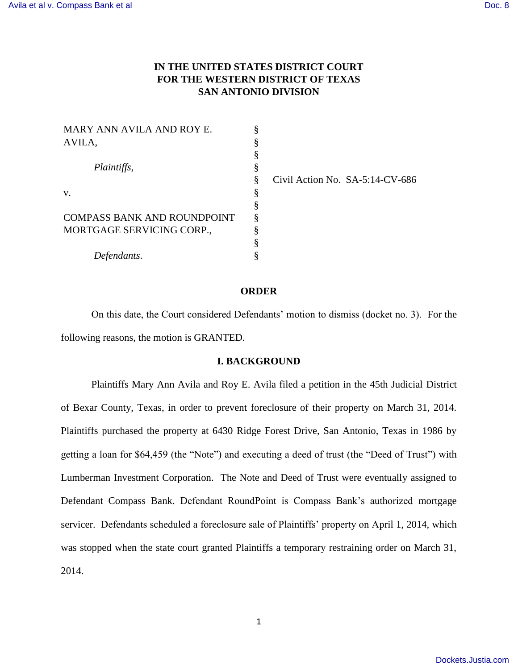# **IN THE UNITED STATES DISTRICT COURT FOR THE WESTERN DISTRICT OF TEXAS SAN ANTONIO DIVISION**

| MARY ANN AVILA AND ROY E.   | § |
|-----------------------------|---|
| AVILA,                      | § |
|                             | § |
| Plaintiffs,<br>V.           | § |
|                             | § |
|                             | § |
|                             | § |
| COMPASS BANK AND ROUNDPOINT | § |
| MORTGAGE SERVICING CORP.,   | ş |
|                             | § |
| Defendants.                 | ş |

Civil Action No. SA-5:14-CV-686

#### **ORDER**

On this date, the Court considered Defendants' motion to dismiss (docket no. 3). For the following reasons, the motion is GRANTED.

### **I. BACKGROUND**

Plaintiffs Mary Ann Avila and Roy E. Avila filed a petition in the 45th Judicial District of Bexar County, Texas, in order to prevent foreclosure of their property on March 31, 2014. Plaintiffs purchased the property at 6430 Ridge Forest Drive, San Antonio, Texas in 1986 by getting a loan for \$64,459 (the "Note") and executing a deed of trust (the "Deed of Trust") with Lumberman Investment Corporation. The Note and Deed of Trust were eventually assigned to Defendant Compass Bank. Defendant RoundPoint is Compass Bank's authorized mortgage servicer. Defendants scheduled a foreclosure sale of Plaintiffs' property on April 1, 2014, which was stopped when the state court granted Plaintiffs a temporary restraining order on March 31, 2014.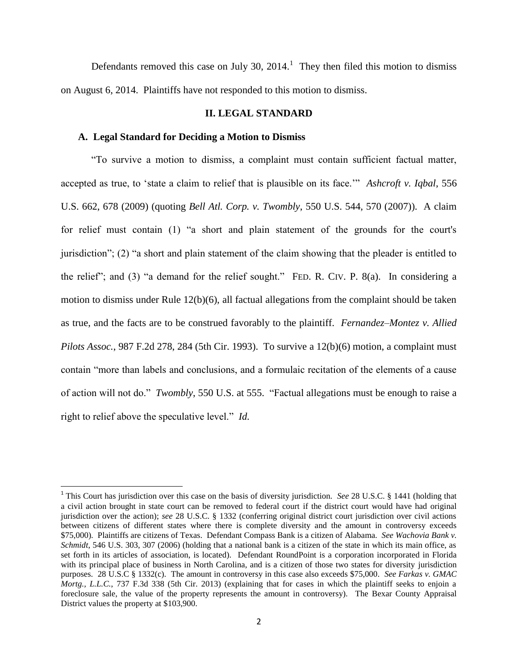Defendants removed this case on July 30,  $2014$ .<sup>1</sup> They then filed this motion to dismiss on August 6, 2014. Plaintiffs have not responded to this motion to dismiss.

# **II. LEGAL STANDARD**

### **A. Legal Standard for Deciding a Motion to Dismiss**

l

"To survive a motion to dismiss, a complaint must contain sufficient factual matter, accepted as true, to 'state a claim to relief that is plausible on its face.'" *Ashcroft v. Iqbal*, 556 U.S. 662, 678 (2009) (quoting *Bell Atl. Corp. v. Twombly*, 550 U.S. 544, 570 (2007)). A claim for relief must contain (1) "a short and plain statement of the grounds for the court's jurisdiction"; (2) "a short and plain statement of the claim showing that the pleader is entitled to the relief"; and (3) "a demand for the relief sought." FED. R. CIV. P. 8(a). In considering a motion to dismiss under Rule 12(b)(6), all factual allegations from the complaint should be taken as true, and the facts are to be construed favorably to the plaintiff. *Fernandez–Montez v. Allied Pilots Assoc.*, 987 F.2d 278, 284 (5th Cir. 1993). To survive a 12(b)(6) motion, a complaint must contain "more than labels and conclusions, and a formulaic recitation of the elements of a cause of action will not do." *Twombly*, 550 U.S. at 555. "Factual allegations must be enough to raise a right to relief above the speculative level." *Id.*

<sup>&</sup>lt;sup>1</sup> This Court has jurisdiction over this case on the basis of diversity jurisdiction. *See* 28 U.S.C. § 1441 (holding that a civil action brought in state court can be removed to federal court if the district court would have had original jurisdiction over the action); *see* 28 U.S.C. § 1332 (conferring original district court jurisdiction over civil actions between citizens of different states where there is complete diversity and the amount in controversy exceeds \$75,000). Plaintiffs are citizens of Texas. Defendant Compass Bank is a citizen of Alabama. *See Wachovia Bank v. Schmidt*, 546 U.S. 303, 307 (2006) (holding that a national bank is a citizen of the state in which its main office, as set forth in its articles of association, is located). Defendant RoundPoint is a corporation incorporated in Florida with its principal place of business in North Carolina, and is a citizen of those two states for diversity jurisdiction purposes. 28 U.S.C § 1332(c). The amount in controversy in this case also exceeds \$75,000. *See Farkas v. GMAC Mortg., L.L.C.*, 737 F.3d 338 (5th Cir. 2013) (explaining that for cases in which the plaintiff seeks to enjoin a foreclosure sale, the value of the property represents the amount in controversy). The Bexar County Appraisal District values the property at \$103,900.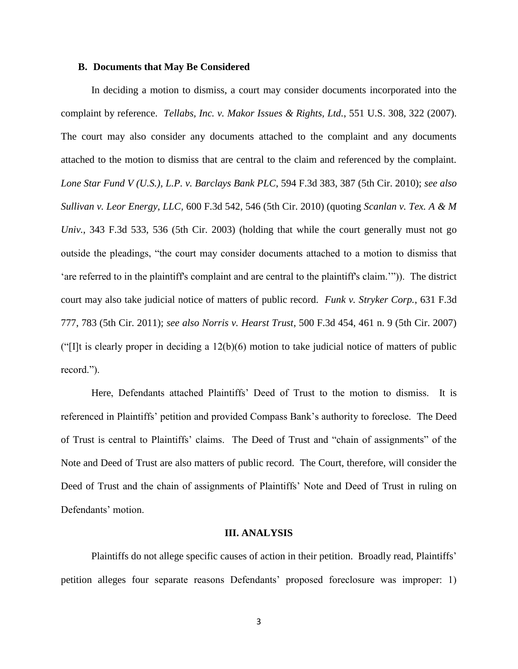### **B. Documents that May Be Considered**

In deciding a motion to dismiss, a court may consider documents incorporated into the complaint by reference. *Tellabs, Inc. v. Makor Issues & Rights, Ltd.*, 551 U.S. 308, 322 (2007). The court may also consider any documents attached to the complaint and any documents attached to the motion to dismiss that are central to the claim and referenced by the complaint. *Lone Star Fund V (U.S.), L.P. v. Barclays Bank PLC*, 594 F.3d 383, 387 (5th Cir. 2010); *see also Sullivan v. Leor Energy, LLC,* 600 F.3d 542, 546 (5th Cir. 2010) (quoting *Scanlan v. Tex. A & M Univ.*, 343 F.3d 533, 536 (5th Cir. 2003) (holding that while the court generally must not go outside the pleadings, "the court may consider documents attached to a motion to dismiss that 'are referred to in the plaintiff's complaint and are central to the plaintiff's claim.'")). The district court may also take judicial notice of matters of public record. *Funk v. Stryker Corp.*, 631 F.3d 777, 783 (5th Cir. 2011); *see also Norris v. Hearst Trust*, 500 F.3d 454, 461 n. 9 (5th Cir. 2007) (" $[1]$ t is clearly proper in deciding a  $12(b)(6)$  motion to take judicial notice of matters of public record.").

Here, Defendants attached Plaintiffs' Deed of Trust to the motion to dismiss. It is referenced in Plaintiffs' petition and provided Compass Bank's authority to foreclose. The Deed of Trust is central to Plaintiffs' claims. The Deed of Trust and "chain of assignments" of the Note and Deed of Trust are also matters of public record. The Court, therefore, will consider the Deed of Trust and the chain of assignments of Plaintiffs' Note and Deed of Trust in ruling on Defendants' motion.

#### **III. ANALYSIS**

Plaintiffs do not allege specific causes of action in their petition. Broadly read, Plaintiffs' petition alleges four separate reasons Defendants' proposed foreclosure was improper: 1)

3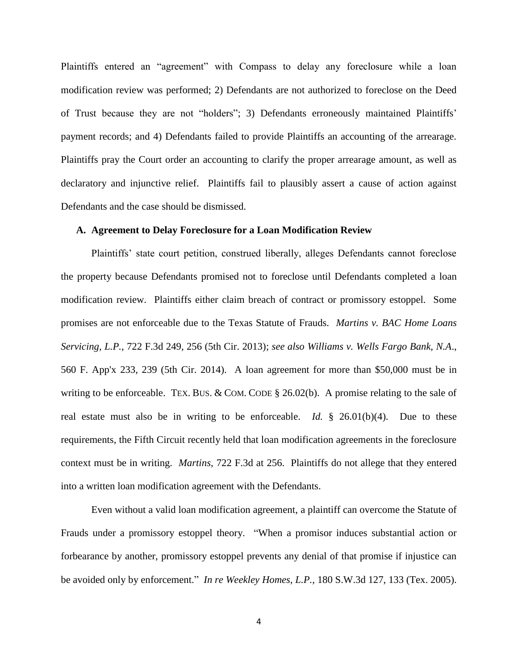Plaintiffs entered an "agreement" with Compass to delay any foreclosure while a loan modification review was performed; 2) Defendants are not authorized to foreclose on the Deed of Trust because they are not "holders"; 3) Defendants erroneously maintained Plaintiffs' payment records; and 4) Defendants failed to provide Plaintiffs an accounting of the arrearage. Plaintiffs pray the Court order an accounting to clarify the proper arrearage amount, as well as declaratory and injunctive relief. Plaintiffs fail to plausibly assert a cause of action against Defendants and the case should be dismissed.

## **A. Agreement to Delay Foreclosure for a Loan Modification Review**

Plaintiffs' state court petition, construed liberally, alleges Defendants cannot foreclose the property because Defendants promised not to foreclose until Defendants completed a loan modification review. Plaintiffs either claim breach of contract or promissory estoppel. Some promises are not enforceable due to the Texas Statute of Frauds. *Martins v. BAC Home Loans Servicing, L.P.*, 722 F.3d 249, 256 (5th Cir. 2013); *see also Williams v. Wells Fargo Bank, N.A*., 560 F. App'x 233, 239 (5th Cir. 2014). A loan agreement for more than \$50,000 must be in writing to be enforceable. TEX. BUS. & COM. CODE  $\S$  26.02(b). A promise relating to the sale of real estate must also be in writing to be enforceable. *Id.* § 26.01(b)(4). Due to these requirements, the Fifth Circuit recently held that loan modification agreements in the foreclosure context must be in writing. *Martins*, 722 F.3d at 256. Plaintiffs do not allege that they entered into a written loan modification agreement with the Defendants.

Even without a valid loan modification agreement, a plaintiff can overcome the Statute of Frauds under a promissory estoppel theory. "When a promisor induces substantial action or forbearance by another, promissory estoppel prevents any denial of that promise if injustice can be avoided only by enforcement." *In re Weekley Homes, L.P.*, 180 S.W.3d 127, 133 (Tex. 2005).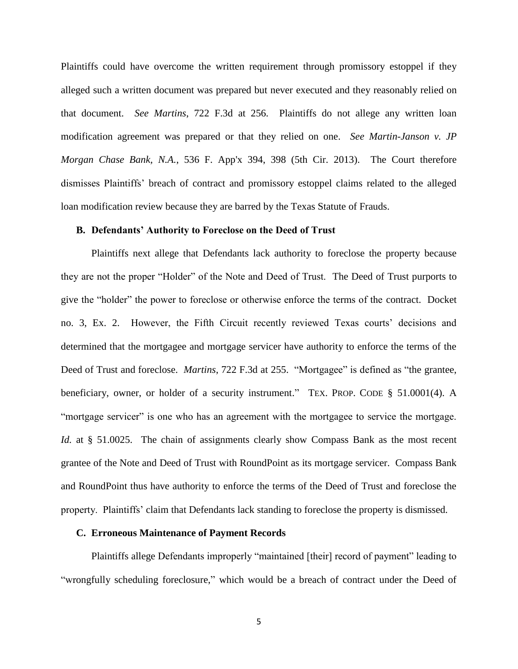Plaintiffs could have overcome the written requirement through promissory estoppel if they alleged such a written document was prepared but never executed and they reasonably relied on that document. *See Martins*, 722 F.3d at 256*.* Plaintiffs do not allege any written loan modification agreement was prepared or that they relied on one. *See Martin-Janson v. JP Morgan Chase Bank, N.A.*, 536 F. App'x 394, 398 (5th Cir. 2013). The Court therefore dismisses Plaintiffs' breach of contract and promissory estoppel claims related to the alleged loan modification review because they are barred by the Texas Statute of Frauds.

### **B. Defendants' Authority to Foreclose on the Deed of Trust**

Plaintiffs next allege that Defendants lack authority to foreclose the property because they are not the proper "Holder" of the Note and Deed of Trust. The Deed of Trust purports to give the "holder" the power to foreclose or otherwise enforce the terms of the contract. Docket no. 3, Ex. 2. However, the Fifth Circuit recently reviewed Texas courts' decisions and determined that the mortgagee and mortgage servicer have authority to enforce the terms of the Deed of Trust and foreclose. *Martins*, 722 F.3d at 255. "Mortgagee" is defined as "the grantee, beneficiary, owner, or holder of a security instrument." TEX. PROP. CODE § 51.0001(4). A "mortgage servicer" is one who has an agreement with the mortgagee to service the mortgage. *Id.* at § 51.0025. The chain of assignments clearly show Compass Bank as the most recent grantee of the Note and Deed of Trust with RoundPoint as its mortgage servicer. Compass Bank and RoundPoint thus have authority to enforce the terms of the Deed of Trust and foreclose the property. Plaintiffs' claim that Defendants lack standing to foreclose the property is dismissed.

#### **C. Erroneous Maintenance of Payment Records**

Plaintiffs allege Defendants improperly "maintained [their] record of payment" leading to "wrongfully scheduling foreclosure," which would be a breach of contract under the Deed of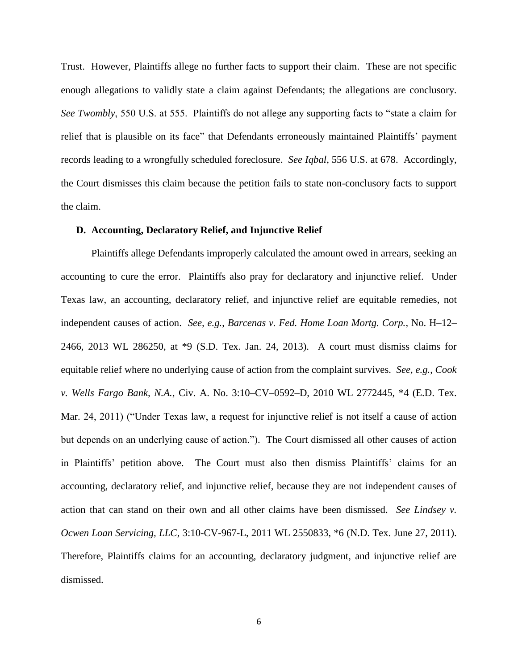Trust. However, Plaintiffs allege no further facts to support their claim. These are not specific enough allegations to validly state a claim against Defendants; the allegations are conclusory. *See Twombly*, 550 U.S. at 555. Plaintiffs do not allege any supporting facts to "state a claim for relief that is plausible on its face" that Defendants erroneously maintained Plaintiffs' payment records leading to a wrongfully scheduled foreclosure. *See Iqbal*, 556 U.S. at 678. Accordingly, the Court dismisses this claim because the petition fails to state non-conclusory facts to support the claim.

# **D. Accounting, Declaratory Relief, and Injunctive Relief**

Plaintiffs allege Defendants improperly calculated the amount owed in arrears, seeking an accounting to cure the error. Plaintiffs also pray for declaratory and injunctive relief. Under Texas law, an accounting, declaratory relief, and injunctive relief are equitable remedies, not independent causes of action. *See, e.g.*, *Barcenas v. Fed. Home Loan Mortg. Corp.*, No. H–12– 2466, 2013 WL 286250, at \*9 (S.D. Tex. Jan. 24, 2013). A court must dismiss claims for equitable relief where no underlying cause of action from the complaint survives. *See, e.g.*, *Cook v. Wells Fargo Bank, N.A.*, Civ. A. No. 3:10–CV–0592–D, 2010 WL 2772445, \*4 (E.D. Tex. Mar. 24, 2011) ("Under Texas law, a request for injunctive relief is not itself a cause of action but depends on an underlying cause of action."). The Court dismissed all other causes of action in Plaintiffs' petition above. The Court must also then dismiss Plaintiffs' claims for an accounting, declaratory relief, and injunctive relief, because they are not independent causes of action that can stand on their own and all other claims have been dismissed. *See Lindsey v. Ocwen Loan Servicing, LLC*, 3:10-CV-967-L, 2011 WL 2550833, \*6 (N.D. Tex. June 27, 2011). Therefore, Plaintiffs claims for an accounting, declaratory judgment, and injunctive relief are dismissed.